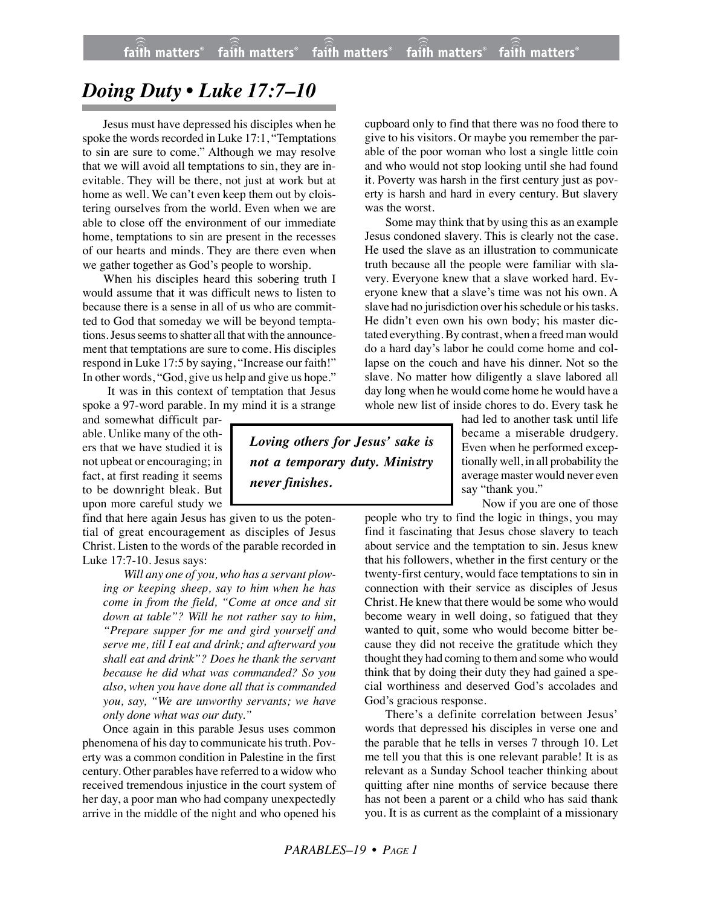## *Doing Duty • Luke 17:7–10*

Jesus must have depressed his disciples when he spoke the words recorded in Luke 17:1, "Temptations to sin are sure to come." Although we may resolve that we will avoid all temptations to sin, they are inevitable. They will be there, not just at work but at home as well. We can't even keep them out by cloistering ourselves from the world. Even when we are able to close off the environment of our immediate home, temptations to sin are present in the recesses of our hearts and minds. They are there even when we gather together as God's people to worship.

When his disciples heard this sobering truth I would assume that it was difficult news to listen to because there is a sense in all of us who are committed to God that someday we will be beyond temptations. Jesus seems to shatter all that with the announcement that temptations are sure to come. His disciples respond in Luke 17:5 by saying, "Increase our faith!" In other words, "God, give us help and give us hope."

 It was in this context of temptation that Jesus spoke a 97-word parable. In my mind it is a strange

and somewhat difficult parable. Unlike many of the others that we have studied it is not upbeat or encouraging; in fact, at first reading it seems to be downright bleak. But upon more careful study we

find that here again Jesus has given to us the potential of great encouragement as disciples of Jesus Christ. Listen to the words of the parable recorded in Luke 17:7-10. Jesus says:

*Will any one of you, who has a servant plowing or keeping sheep, say to him when he has come in from the field, "Come at once and sit down at table"? Will he not rather say to him, "Prepare supper for me and gird yourself and serve me, till I eat and drink; and afterward you shall eat and drink"? Does he thank the servant because he did what was commanded? So you also, when you have done all that is commanded you, say, "We are unworthy servants; we have only done what was our duty."*

Once again in this parable Jesus uses common phenomena of his day to communicate his truth. Poverty was a common condition in Palestine in the first century. Other parables have referred to a widow who received tremendous injustice in the court system of her day, a poor man who had company unexpectedly arrive in the middle of the night and who opened his cupboard only to find that there was no food there to give to his visitors. Or maybe you remember the parable of the poor woman who lost a single little coin and who would not stop looking until she had found it. Poverty was harsh in the first century just as poverty is harsh and hard in every century. But slavery was the worst.

Some may think that by using this as an example Jesus condoned slavery. This is clearly not the case. He used the slave as an illustration to communicate truth because all the people were familiar with slavery. Everyone knew that a slave worked hard. Everyone knew that a slave's time was not his own. A slave had no jurisdiction over his schedule or his tasks. He didn't even own his own body; his master dictated everything. By contrast, when a freed man would do a hard day's labor he could come home and collapse on the couch and have his dinner. Not so the slave. No matter how diligently a slave labored all day long when he would come home he would have a whole new list of inside chores to do. Every task he

had led to another task until life became a miserable drudgery. Even when he performed exceptionally well, in all probability the average master would never even say "thank you."

Now if you are one of those

people who try to find the logic in things, you may find it fascinating that Jesus chose slavery to teach about service and the temptation to sin. Jesus knew that his followers, whether in the first century or the twenty-first century, would face temptations to sin in connection with their service as disciples of Jesus Christ. He knew that there would be some who would become weary in well doing, so fatigued that they wanted to quit, some who would become bitter because they did not receive the gratitude which they thought they had coming to them and some who would think that by doing their duty they had gained a special worthiness and deserved God's accolades and God's gracious response.

There's a definite correlation between Jesus' words that depressed his disciples in verse one and the parable that he tells in verses 7 through 10. Let me tell you that this is one relevant parable! It is as relevant as a Sunday School teacher thinking about quitting after nine months of service because there has not been a parent or a child who has said thank you. It is as current as the complaint of a missionary

*Loving others for Jesus' sake is not a temporary duty. Ministry*

*never finishes.*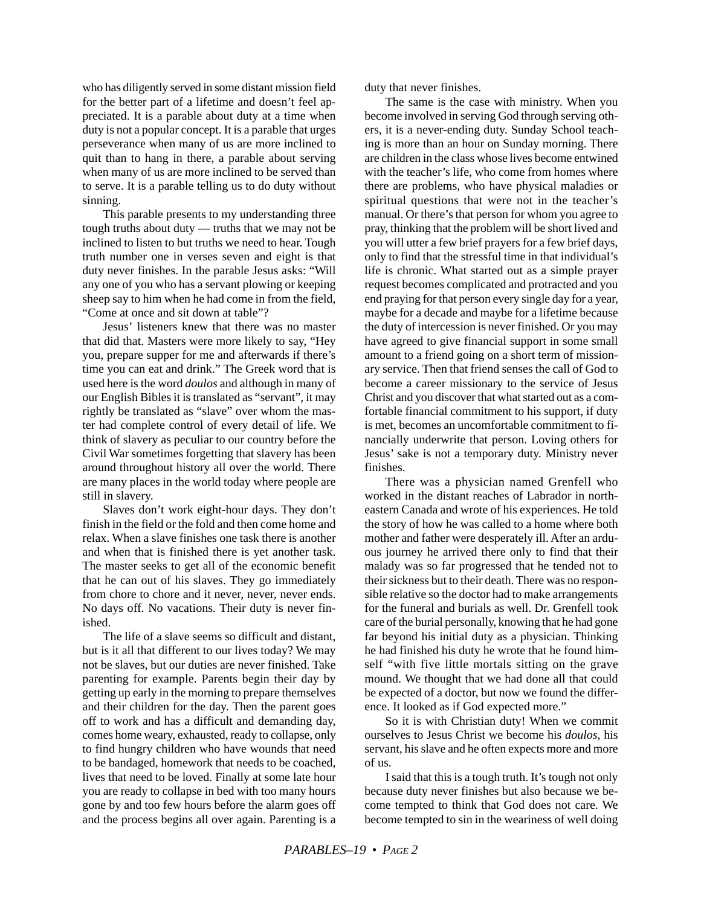who has diligently served in some distant mission field for the better part of a lifetime and doesn't feel appreciated. It is a parable about duty at a time when duty is not a popular concept. It is a parable that urges perseverance when many of us are more inclined to quit than to hang in there, a parable about serving when many of us are more inclined to be served than to serve. It is a parable telling us to do duty without sinning.

This parable presents to my understanding three tough truths about duty — truths that we may not be inclined to listen to but truths we need to hear. Tough truth number one in verses seven and eight is that duty never finishes. In the parable Jesus asks: "Will any one of you who has a servant plowing or keeping sheep say to him when he had come in from the field, "Come at once and sit down at table"?

Jesus' listeners knew that there was no master that did that. Masters were more likely to say, "Hey you, prepare supper for me and afterwards if there's time you can eat and drink." The Greek word that is used here is the word *doulos* and although in many of our English Bibles it is translated as "servant", it may rightly be translated as "slave" over whom the master had complete control of every detail of life. We think of slavery as peculiar to our country before the Civil War sometimes forgetting that slavery has been around throughout history all over the world. There are many places in the world today where people are still in slavery.

Slaves don't work eight-hour days. They don't finish in the field or the fold and then come home and relax. When a slave finishes one task there is another and when that is finished there is yet another task. The master seeks to get all of the economic benefit that he can out of his slaves. They go immediately from chore to chore and it never, never, never ends. No days off. No vacations. Their duty is never finished.

The life of a slave seems so difficult and distant, but is it all that different to our lives today? We may not be slaves, but our duties are never finished. Take parenting for example. Parents begin their day by getting up early in the morning to prepare themselves and their children for the day. Then the parent goes off to work and has a difficult and demanding day, comes home weary, exhausted, ready to collapse, only to find hungry children who have wounds that need to be bandaged, homework that needs to be coached, lives that need to be loved. Finally at some late hour you are ready to collapse in bed with too many hours gone by and too few hours before the alarm goes off and the process begins all over again. Parenting is a duty that never finishes.

The same is the case with ministry. When you become involved in serving God through serving others, it is a never-ending duty. Sunday School teaching is more than an hour on Sunday morning. There are children in the class whose lives become entwined with the teacher's life, who come from homes where there are problems, who have physical maladies or spiritual questions that were not in the teacher's manual. Or there's that person for whom you agree to pray, thinking that the problem will be short lived and you will utter a few brief prayers for a few brief days, only to find that the stressful time in that individual's life is chronic. What started out as a simple prayer request becomes complicated and protracted and you end praying for that person every single day for a year, maybe for a decade and maybe for a lifetime because the duty of intercession is never finished. Or you may have agreed to give financial support in some small amount to a friend going on a short term of missionary service. Then that friend senses the call of God to become a career missionary to the service of Jesus Christ and you discover that what started out as a comfortable financial commitment to his support, if duty is met, becomes an uncomfortable commitment to financially underwrite that person. Loving others for Jesus' sake is not a temporary duty. Ministry never finishes.

There was a physician named Grenfell who worked in the distant reaches of Labrador in northeastern Canada and wrote of his experiences. He told the story of how he was called to a home where both mother and father were desperately ill. After an arduous journey he arrived there only to find that their malady was so far progressed that he tended not to their sickness but to their death. There was no responsible relative so the doctor had to make arrangements for the funeral and burials as well. Dr. Grenfell took care of the burial personally, knowing that he had gone far beyond his initial duty as a physician. Thinking he had finished his duty he wrote that he found himself "with five little mortals sitting on the grave mound. We thought that we had done all that could be expected of a doctor, but now we found the difference. It looked as if God expected more."

So it is with Christian duty! When we commit ourselves to Jesus Christ we become his *doulos*, his servant, his slave and he often expects more and more of us.

I said that this is a tough truth. It's tough not only because duty never finishes but also because we become tempted to think that God does not care. We become tempted to sin in the weariness of well doing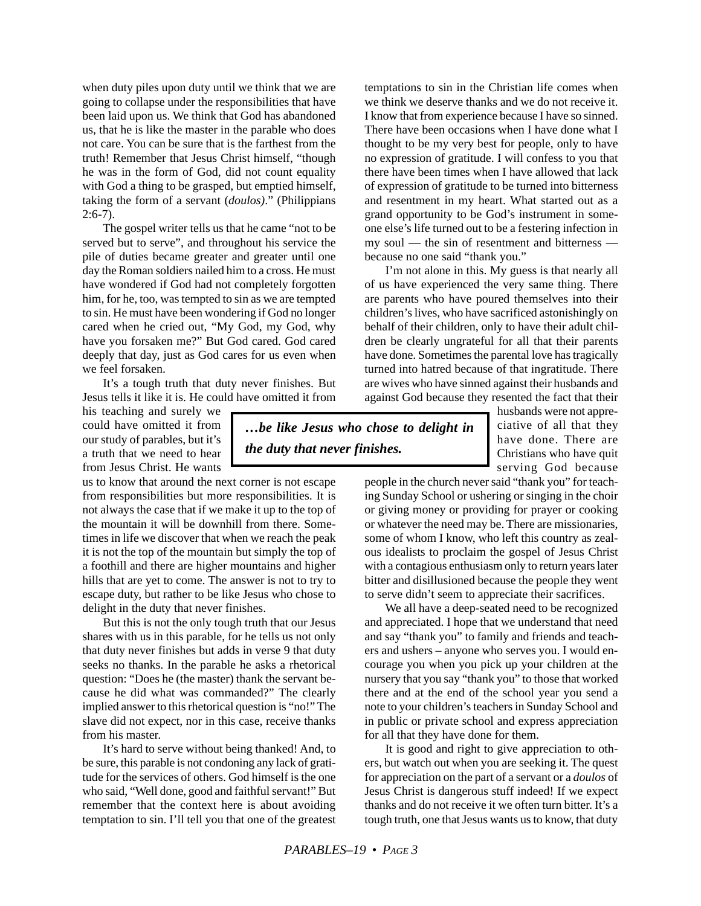when duty piles upon duty until we think that we are going to collapse under the responsibilities that have been laid upon us. We think that God has abandoned us, that he is like the master in the parable who does not care. You can be sure that is the farthest from the truth! Remember that Jesus Christ himself, "though he was in the form of God, did not count equality with God a thing to be grasped, but emptied himself, taking the form of a servant (*doulos)*." (Philippians  $2:6-7$ ).

The gospel writer tells us that he came "not to be served but to serve", and throughout his service the pile of duties became greater and greater until one day the Roman soldiers nailed him to a cross. He must have wondered if God had not completely forgotten him, for he, too, was tempted to sin as we are tempted to sin. He must have been wondering if God no longer cared when he cried out, "My God, my God, why have you forsaken me?" But God cared. God cared deeply that day, just as God cares for us even when we feel forsaken.

It's a tough truth that duty never finishes. But Jesus tells it like it is. He could have omitted it from

his teaching and surely we could have omitted it from our study of parables, but it's a truth that we need to hear from Jesus Christ. He wants

us to know that around the next corner is not escape from responsibilities but more responsibilities. It is not always the case that if we make it up to the top of the mountain it will be downhill from there. Sometimes in life we discover that when we reach the peak it is not the top of the mountain but simply the top of a foothill and there are higher mountains and higher hills that are yet to come. The answer is not to try to escape duty, but rather to be like Jesus who chose to delight in the duty that never finishes.

But this is not the only tough truth that our Jesus shares with us in this parable, for he tells us not only that duty never finishes but adds in verse 9 that duty seeks no thanks. In the parable he asks a rhetorical question: "Does he (the master) thank the servant because he did what was commanded?" The clearly implied answer to this rhetorical question is "no!" The slave did not expect, nor in this case, receive thanks from his master.

It's hard to serve without being thanked! And, to be sure, this parable is not condoning any lack of gratitude for the services of others. God himself is the one who said, "Well done, good and faithful servant!" But remember that the context here is about avoiding temptation to sin. I'll tell you that one of the greatest temptations to sin in the Christian life comes when we think we deserve thanks and we do not receive it. I know that from experience because I have so sinned. There have been occasions when I have done what I thought to be my very best for people, only to have no expression of gratitude. I will confess to you that there have been times when I have allowed that lack of expression of gratitude to be turned into bitterness and resentment in my heart. What started out as a grand opportunity to be God's instrument in someone else's life turned out to be a festering infection in my soul — the sin of resentment and bitterness because no one said "thank you."

I'm not alone in this. My guess is that nearly all of us have experienced the very same thing. There are parents who have poured themselves into their children's lives, who have sacrificed astonishingly on behalf of their children, only to have their adult children be clearly ungrateful for all that their parents have done. Sometimes the parental love has tragically turned into hatred because of that ingratitude. There are wives who have sinned against their husbands and against God because they resented the fact that their

*…be like Jesus who chose to delight in the duty that never finishes.*

husbands were not appreciative of all that they have done. There are Christians who have quit serving God because

people in the church never said "thank you" for teaching Sunday School or ushering or singing in the choir or giving money or providing for prayer or cooking or whatever the need may be. There are missionaries, some of whom I know, who left this country as zealous idealists to proclaim the gospel of Jesus Christ with a contagious enthusiasm only to return years later bitter and disillusioned because the people they went to serve didn't seem to appreciate their sacrifices.

We all have a deep-seated need to be recognized and appreciated. I hope that we understand that need and say "thank you" to family and friends and teachers and ushers – anyone who serves you. I would encourage you when you pick up your children at the nursery that you say "thank you" to those that worked there and at the end of the school year you send a note to your children's teachers in Sunday School and in public or private school and express appreciation for all that they have done for them.

It is good and right to give appreciation to others, but watch out when you are seeking it. The quest for appreciation on the part of a servant or a *doulos* of Jesus Christ is dangerous stuff indeed! If we expect thanks and do not receive it we often turn bitter. It's a tough truth, one that Jesus wants us to know, that duty